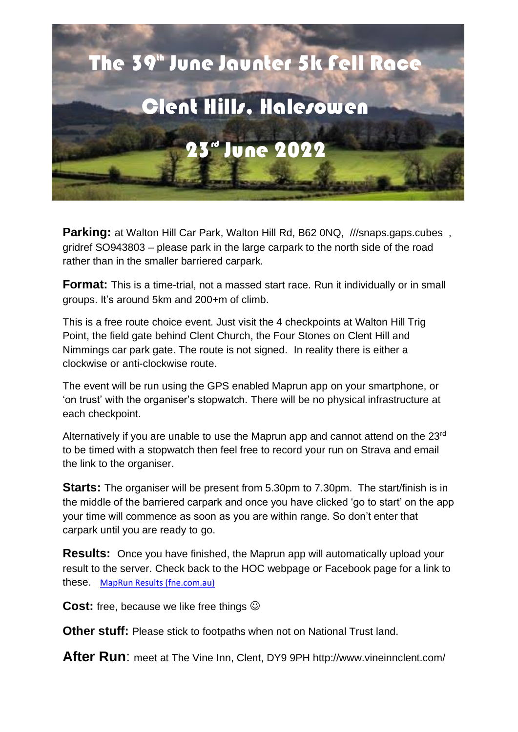

**Parking:** at Walton Hill Car Park, Walton Hill Rd, B62 0NQ, ///snaps.gaps.cubes, gridref SO943803 – please park in the large carpark to the north side of the road rather than in the smaller barriered carpark.

**Format:** This is a time-trial, not a massed start race. Run it individually or in small groups. It's around 5km and 200+m of climb.

This is a free route choice event. Just visit the 4 checkpoints at Walton Hill Trig Point, the field gate behind Clent Church, the Four Stones on Clent Hill and Nimmings car park gate. The route is not signed. In reality there is either a clockwise or anti-clockwise route.

The event will be run using the GPS enabled Maprun app on your smartphone, or 'on trust' with the organiser's stopwatch. There will be no physical infrastructure at each checkpoint.

Alternatively if you are unable to use the Maprun app and cannot attend on the 23rd to be timed with a stopwatch then feel free to record your run on Strava and email the link to the organiser.

**Starts:** The organiser will be present from 5.30pm to 7.30pm. The start/finish is in the middle of the barriered carpark and once you have clicked 'go to start' on the app your time will commence as soon as you are within range. So don't enter that carpark until you are ready to go.

**Results:** Once you have finished, the Maprun app will automatically upload your result to the server. Check back to the HOC webpage or Facebook page for a link to these. [MapRun Results \(fne.com.au\)](https://p.fne.com.au/rg/cgi-bin/SelectResultFileForSplitsBrowserFiltered.cgi?act=fileToSplitsBrowser&eventName=CombinedResults_JuneJaunter2022%20PXAS.csv)

**Cost:** free, because we like free things  $\odot$ 

**Other stuff:** Please stick to footpaths when not on National Trust land.

**After Run**: meet at The Vine Inn, Clent, DY9 9PH http://www.vineinnclent.com/